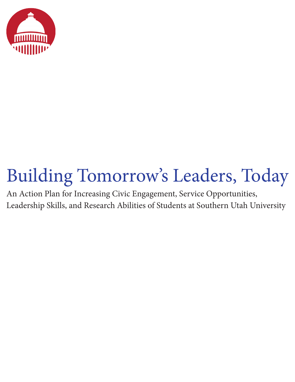

# Building Tomorrow's Leaders, Today

An Action Plan for Increasing Civic Engagement, Service Opportunities, Leadership Skills, and Research Abilities of Students at Southern Utah University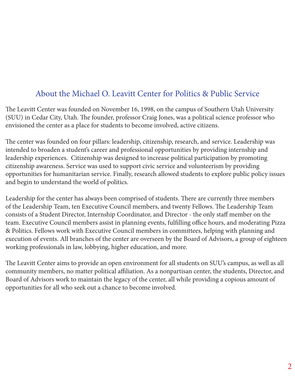### About the Michael O. Leavitt Center for Politics & Public Service

The Leavitt Center was founded on November 16, 1998, on the campus of Southern Utah University (SUU) in Cedar City, Utah. The founder, professor Craig Jones, was a political science professor who envisioned the center as a place for students to become involved, active citizens.

The center was founded on four pillars: leadership, citizenship, research, and service. Leadership was intended to broaden a student's career and professional opportunities by providing internship and leadership experiences. Citizenship was designed to increase political participation by promoting citizenship awareness. Service was used to support civic service and volunteerism by providing opportunities for humanitarian service. Finally, research allowed students to explore public policy issues and begin to understand the world of politics.

Leadership for the center has always been comprised of students. There are currently three members of the Leadership Team, ten Executive Council members, and twenty Fellows. The Leadership Team consists of a Student Director, Internship Coordinator, and Director - the only staff member on the team. Executive Council members assist in planning events, fulfilling office hours, and moderating Pizza & Politics. Fellows work with Executive Council members in committees, helping with planning and execution of events. All branches of the center are overseen by the Board of Advisors, a group of eighteen working professionals in law, lobbying, higher education, and more.

The Leavitt Center aims to provide an open environment for all students on SUU's campus, as well as all community members, no matter political affiliation. As a nonpartisan center, the students, Director, and Board of Advisors work to maintain the legacy of the center, all while providing a copious amount of opportunities for all who seek out a chance to become involved.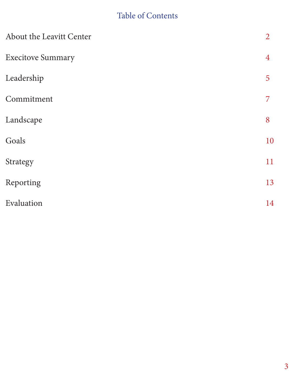## Table of Contents

| About the Leavitt Center | $\overline{2}$ |
|--------------------------|----------------|
| <b>Execitove Summary</b> | $\overline{4}$ |
| Leadership               | 5              |
| Commitment               | 7              |
| Landscape                | 8              |
| Goals                    | 10             |
| Strategy                 | 11             |
| Reporting                | 13             |
| Evaluation               | 14             |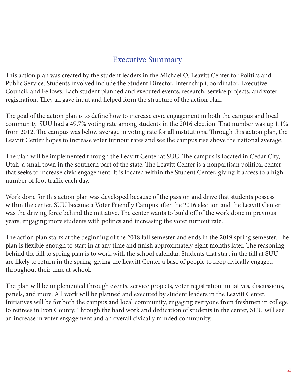#### Executive Summary

This action plan was created by the student leaders in the Michael O. Leavitt Center for Politics and Public Service. Students involved include the Student Director, Internship Coordinator, Executive Council, and Fellows. Each student planned and executed events, research, service projects, and voter registration. They all gave input and helped form the structure of the action plan.

The goal of the action plan is to define how to increase civic engagement in both the campus and local community. SUU had a 49.7% voting rate among students in the 2016 election. That number was up 1.1% from 2012. The campus was below average in voting rate for all institutions. Through this action plan, the Leavitt Center hopes to increase voter turnout rates and see the campus rise above the national average.

The plan will be implemented through the Leavitt Center at SUU. The campus is located in Cedar City, Utah, a small town in the southern part of the state. The Leavitt Center is a nonpartisan political center that seeks to increase civic engagement. It is located within the Student Center, giving it access to a high number of foot traffic each day.

Work done for this action plan was developed because of the passion and drive that students possess within the center. SUU became a Voter Friendly Campus after the 2016 election and the Leavitt Center was the driving force behind the initiative. The center wants to build off of the work done in previous years, engaging more students with politics and increasing the voter turnout rate.

The action plan starts at the beginning of the 2018 fall semester and ends in the 2019 spring semester. The plan is flexible enough to start in at any time and finish approximately eight months later. The reasoning behind the fall to spring plan is to work with the school calendar. Students that start in the fall at SUU are likely to return in the spring, giving the Leavitt Center a base of people to keep civically engaged throughout their time at school.

The plan will be implemented through events, service projects, voter registration initiatives, discussions, panels, and more. All work will be planned and executed by student leaders in the Leavitt Center. Initiatives will be for both the campus and local community, engaging everyone from freshmen in college to retirees in Iron County. Through the hard work and dedication of students in the center, SUU will see an increase in voter engagement and an overall civically minded community.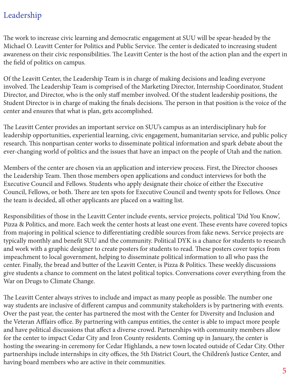### Leadership

The work to increase civic learning and democratic engagement at SUU will be spear-headed by the Michael O. Leavitt Center for Politics and Public Service. The center is dedicated to increasing student awareness on their civic responsibilities. The Leavitt Center is the host of the action plan and the expert in the field of politics on campus.

Of the Leavitt Center, the Leadership Team is in charge of making decisions and leading everyone involved. The Leadership Team is comprised of the Marketing Director, Internship Coordinator, Student Director, and Director, who is the only staff member involved. Of the student leadership positions, the Student Director is in charge of making the finals decisions. The person in that position is the voice of the center and ensures that what is plan, gets accomplished.

The Leavitt Center provides an important service on SUU's campus as an interdisciplinary hub for leadership opportunities, experiential learning, civic engagement, humanitarian service, and public policy research. This nonpartisan center works to disseminate political information and spark debate about the ever-changing world of politics and the issues that have an impact on the people of Utah and the nation.

Members of the center are chosen via an application and interview process. First, the Director chooses the Leadership Team. Then those members open applications and conduct interviews for both the Executive Council and Fellows. Students who apply designate their choice of either the Executive Council, Fellows, or both. There are ten spots for Executive Council and twenty spots for Fellows. Once the team is decided, all other applicants are placed on a waiting list.

Responsibilities of those in the Leavitt Center include events, service projects, political 'Did You Know', Pizza & Politics, and more. Each week the center hosts at least one event. These events have covered topics from majoring in political science to differentiating credible sources from fake news. Service projects are typically monthly and benefit SUU and the community. Political DYK is a chance for students to research and work with a graphic designer to create posters for students to read. These posters cover topics from impeachment to local government, helping to disseminate political information to all who pass the center. Finally, the bread and butter of the Leavitt Center, is Pizza & Politics. These weekly discussions give students a chance to comment on the latest political topics. Conversations cover everything from the War on Drugs to Climate Change.

The Leavitt Center always strives to include and impact as many people as possible. The number one way students are inclusive of different campus and community stakeholders is by partnering with events. Over the past year, the center has partnered the most with the Center for Diversity and Inclusion and the Veteran Afffairs office. By partnering with campus entities, the center is able to impact more people and have political discussions that affect a diverse crowd. Partnerships with community members allow for the center to impact Cedar City and Iron County residents. Coming up in January, the center is hosting the swearing-in ceremony for Cedar Highlands, a new town located outside of Cedar City. Other partnerships include internships in city offices, the 5th District Court, the Children's Justice Center, and having board members who are active in their communities.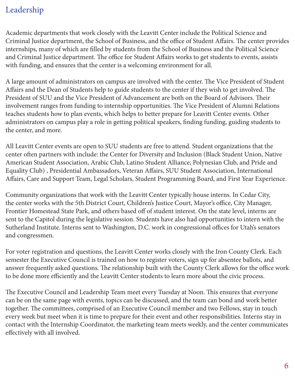### Leadership

Academic departments that work closely with the Leavitt Center include the Political Science and Criminal Justice department, the School of Business, and the office of Student Affairs. The center provides internships, many of which are filled by students from the School of Business and the Political Science and Criminal Justice department. The office for Student Affairs works to get students to events, assists with funding, and ensures that the center is a welcoming environment for all.

A large amount of administrators on campus are involved with the center. The Vice President of Student Affairs and the Dean of Students help to guide students to the center if they wish to get involved. The President of SUU and the Vice President of Advancement are both on the Board of Advisors. Their involvement ranges from funding to internship opportunities. The Vice President of Alumni Relations teaches students how to plan events, which helps to better prepare for Leavitt Center events. Other administrators on campus play a role in getting political speakers, finding funding, guiding students to the center, and more.

All Leavitt Center events are open to SUU students are free to attend. Student organizations that the center often partners with include: the Center for Diversity and Inclusion (Black Student Union, Native American Student Association, Arabic Club, Latino Student Alliance, Polynesian Club, and Pride and Equality Club) , Presidential Ambassadors, Veteran Affairs, SUU Student Association, International Affairs, Care and Support Team, Legal Scholars, Student Programming Board, and First Year Experience.

Community organizations that work with the Leavitt Center typically house interns. In Cedar City, the center works with the 5th District Court, Children's Justice Court, Mayor's office, City Manager, Frontier Homestead State Park, and others based off of student interest. On the state level, interns are sent to the Capitol during the legislative session. Students have also had opportunities to intern with the Sutherland Institute. Interns sent to Washington, D.C. work in congressional offices for Utah's senators and congressmen.

For voter registration and questions, the Leavitt Center works closely with the Iron County Clerk. Each semester the Executive Council is trained on how to register voters, sign up for absentee ballots, and answer frequently asked questions. The relationship built with the County Clerk allows for the office work to be done more efficiently and the Leavitt Center students to learn more about the civic process.

The Executive Council and Leadership Team meet every Tuesday at Noon. This ensures that everyone can be on the same page with events, topics can be discussed, and the team can bond and work better together. The committees, comprised of an Executive Council member and two Fellows, stay in touch every week but meet when it is time to prepare for their event and other responsibilities. Interns stay in contact with the Internship Coordinator, the marketing team meets weekly, and the center communicates effectively with all involved.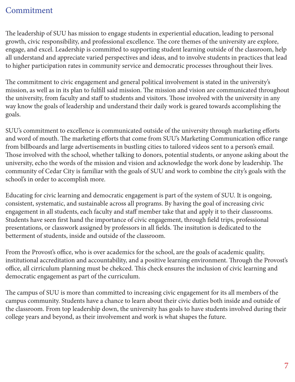#### Commitment

The leadership of SUU has mission to engage students in experiential education, leading to personal growth, civic responsibility, and professional excellence. The core themes of the university are explore, engage, and excel. Leadership is committed to supporting student learning outside of the classroom, help all understand and appreciate varied perspectives and ideas, and to involve students in practices that lead to higher participation rates in community service and democratic processes throughout their lives.

The commitment to civic engagement and general political involvement is stated in the university's mission, as well as in its plan to fulfill said mission. The mission and vision are communicated throughout the university, from faculty and staff to students and visitors. Those involved with the university in any way know the goals of leadership and understand their daily work is geared towards accomplishing the goals.

SUU's commitment to excellence is communicated outside of the university through marketing efforts and word of mouth. The marketing efforts that come from SUU's Marketing Communication office range from billboards and large advertisements in bustling cities to tailored videos sent to a person's email. Those involved with the school, whether talking to donors, potential students, or anyone asking about the university, echo the words of the mission and vision and acknowledge the work done by leadership. The community of Cedar City is familiar with the goals of SUU and work to combine the city's goals with the school's in order to accomplish more.

Educating for civic learning and democratic engagement is part of the system of SUU. It is ongoing, consistent, systematic, and sustainable across all programs. By having the goal of increasing civic engagement in all students, each faculty and staff member take that and apply it to their classrooms. Students have seen first hand the importance of civic engagement, through field trips, professional presentations, or classwork assigned by professors in all fields. The insitution is dedicated to the betterment of students, inside and outside of the classroom.

From the Provost's office, who is over academics for the school, are the goals of academic quality, institutional accreditation and accountability, and a positive learning environment. Through the Provost's office, all cirriculum planning must be chekced. This check ensures the inclusion of civic learning and democratic engagement as part of the curriculum.

The campus of SUU is more than committed to increasing civic engagement for its all members of the campus community. Students have a chance to learn about their civic duties both inside and outside of the classroom. From top leadership down, the university has goals to have students involved during their college years and beyond, as their involvement and work is what shapes the future.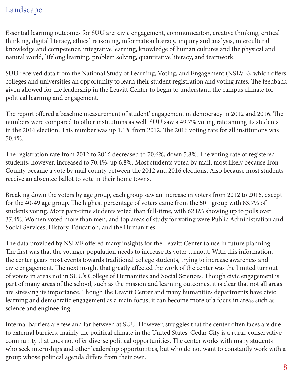### Landscape

Essential learning outcomes for SUU are: civic engagement, communicaiton, creative thinking, critical thinking, digital literacy, ethical reasoning, information literacy, inquiry and analysis, intercultural knowledge and competence, integrative learning, knowledge of human cultures and the physical and natural world, lifelong learning, problem solving, quantitative literacy, and teamwork.

SUU received data from the National Study of Learning, Voting, and Engagement (NSLVE), which offers colleges and universities an opportunity to learn their student registration and voting rates. The feedback given allowed for the leadership in the Leavitt Center to begin to understand the campus climate for political learning and engagement.

The report offered a baseline measurement of student' engagement in democracy in 2012 and 2016. The numbers were compared to other institutions as well. SUU saw a 49.7% voting rate among its students in the 2016 election. This number was up 1.1% from 2012. The 2016 voting rate for all institutions was 50.4%.

The registration rate from 2012 to 2016 decreased to 70.6%, down 5.8%. The voting rate of registered students, however, increased to 70.4%, up 6.8%. Most students voted by mail, most likely because Iron County became a vote by mail county between the 2012 and 2016 elections. Also because most students receive an absentee ballot to vote in their home towns.

Breaking down the voters by age group, each group saw an increase in voters from 2012 to 2016, except for the 40-49 age group. The highest percentage of voters came from the 50+ group with 83.7% of students voting. More part-time students voted than full-time, with 62.8% showing up to polls over 37.4%. Women voted more than men, and top areas of study for voting were Public Administration and Social Services, History, Education, and the Humanities.

The data provided by NSLVE offered many insights for the Leavitt Center to use in future planning. The first was that the younger population needs to increase its voter turnout. With this information, the center gears most events towards traditional college students, trying to increase awareness and civic engagement. The next insight that greatly affected the work of the center was the limited turnout of voters in areas not in SUU's College of Humanities and Social Sciences. Though civic engagement is part of many areas of the school, such as the mission and learning outcomes, it is clear that not all areas are stressing its importance. Though the Leavitt Center and many humanities departments have civic learning and democratic engagement as a main focus, it can become more of a focus in areas such as science and engineering.

Internal barriers are few and far between at SUU. However, struggles that the center often faces are due to external barriers, mainly the political climate in the United States. Cedar City is a rural, conservative community that does not offer diverse political opportunities. The center works with many students who seek internships and other leadership opportunities, but who do not want to constantly work with a group whose political agenda differs from their own.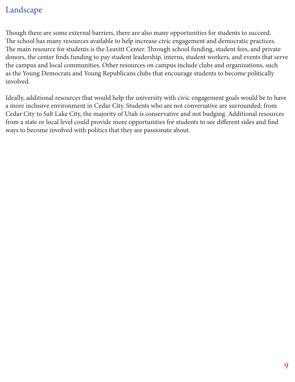#### Landscape

Though there are some external barriers, there are also many opportunities for students to succeed. The school has many resources available to help increase civic engagement and democratic practices. The main resource for students is the Leavitt Center. Through school funding, student fees, and private donors, the center finds funding to pay student leadership, interns, student workers, and events that serve the campus and local communities. Other resources on campus include clubs and organizations, such as the Young Democrats and Young Republicans clubs that encourage students to become politically involved.

Ideally, additional resources that would help the university with civic engagement goals would be to have a more inclusive environment in Cedar City. Students who are not conversative are surrounded; from Cedar City to Salt Lake City, the majority of Utah is conservative and not budging. Additional resources from a state or local level could provide more opportunities for students to see different sides and find ways to become involved with politics that they are passionate about.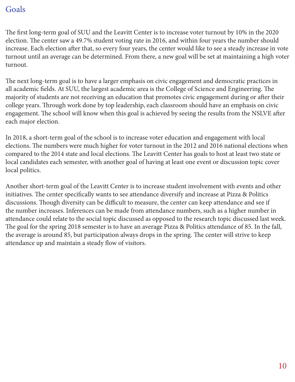#### Goals

The first long-term goal of SUU and the Leavitt Center is to increase voter turnout by 10% in the 2020 election. The center saw a 49.7% student voting rate in 2016, and within four years the number should increase. Each election after that, so every four years, the center would like to see a steady increase in vote turnout until an average can be determined. From there, a new goal will be set at maintaining a high voter turnout.

The next long-term goal is to have a larger emphasis on civic engagement and democratic practices in all academic fields. At SUU, the largest academic area is the College of Science and Engineering. The majority of students are not receiving an education that promotes civic engagement during or after their college years. Through work done by top leadership, each classroom should have an emphasis on civic engagement. The school will know when this goal is achieved by seeing the results from the NSLVE after each major election.

In 2018, a short-term goal of the school is to increase voter education and engagement with local elections. The numbers were much higher for voter turnout in the 2012 and 2016 national elections when compared to the 2014 state and local elections. The Leavitt Center has goals to host at least two state or local candidates each semester, with another goal of having at least one event or discussion topic cover local politics.

Another short-term goal of the Leavitt Center is to increase student involvement with events and other initiatives. The center specifically wants to see attendance diversify and increase at Pizza & Politics discussions. Though diversity can be difficult to measure, the center can keep attendance and see if the number increases. Inferences can be made from attendance numbers, such as a higher number in attendance could relate to the social topic discussed as opposed to the research topic discussed last week. The goal for the spring 2018 semester is to have an average Pizza & Politics attendance of 85. In the fall, the average is around 85, but participation always drops in the spring. The center will strive to keep attendance up and maintain a steady flow of visitors.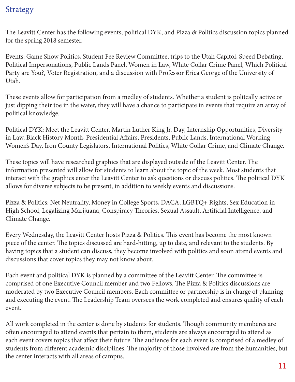#### Strategy

The Leavitt Center has the following events, political DYK, and Pizza & Politics discussion topics planned for the spring 2018 semester.

Events: Game Show Politics, Student Fee Review Committee, trips to the Utah Capitol, Speed Debating, Political Impersonations, Public Lands Panel, Women in Law, White Collar Crime Panel, Which Political Party are You?, Voter Registration, and a discussion with Professor Erica George of the University of Utah.

These events allow for participation from a medley of students. Whether a student is politcally active or just dipping their toe in the water, they will have a chance to participate in events that require an array of political knowledge.

Political DYK: Meet the Leavitt Center, Martin Luther King Jr. Day, Internship Opportunities, Diversity in Law, Black History Month, Presidential Affairs, Presidents, Public Lands, International Working Women's Day, Iron County Legislators, International Politics, White Collar Crime, and Climate Change.

These topics will have researched graphics that are displayed outside of the Leavitt Center. The information presented will allow for students to learn about the topic of the week. Most students that interact with the graphics enter the Leavitt Center to ask questions or discuss politics. The political DYK allows for diverse subjects to be present, in addition to weekly events and discussions.

Pizza & Politics: Net Neutrality, Money in College Sports, DACA, LGBTQ+ Rights, Sex Education in High School, Legalizing Marijuana, Conspiracy Theories, Sexual Assault, Artificial Intelligence, and Climate Change.

Every Wednesday, the Leavitt Center hosts Pizza & Politics. This event has become the most known piece of the center. The topics discussed are hard-hitting, up to date, and relevant to the students. By having topics that a student can discuss, they become involved with politics and soon attend events and discussions that cover topics they may not know about.

Each event and political DYK is planned by a committee of the Leavitt Center. The committee is comprised of one Executive Council member and two Fellows. The Pizza & Politics discussions are moderated by two Executive Council members. Each committee or partnership is in charge of planning and executing the event. The Leadership Team oversees the work completed and ensures quality of each event.

All work completed in the center is done by students for students. Though community memberes are often encouraged to attend events that pertain to them, students are always encouraged to attend as each event covers topics that affect their future. The audience for each event is comprised of a medley of students from different academic disciplines. The majority of those involved are from the humanities, but the center interacts with all areas of campus.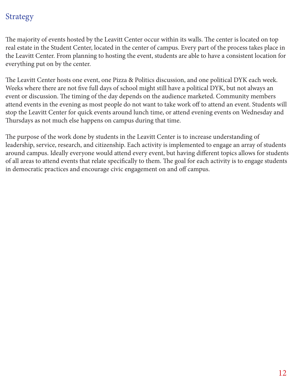### Strategy

The majority of events hosted by the Leavitt Center occur within its walls. The center is located on top real estate in the Student Center, located in the center of campus. Every part of the process takes place in the Leavitt Center. From planning to hosting the event, students are able to have a consistent location for everything put on by the center.

The Leavitt Center hosts one event, one Pizza & Politics discussion, and one political DYK each week. Weeks where there are not five full days of school might still have a political DYK, but not always an event or discussion. The timing of the day depends on the audience marketed. Community members attend events in the evening as most people do not want to take work off to attend an event. Students will stop the Leavitt Center for quick events around lunch time, or attend evening events on Wednesday and Thursdays as not much else happens on campus during that time.

The purpose of the work done by students in the Leavitt Center is to increase understanding of leadership, service, research, and citizenship. Each activity is implemented to engage an array of students around campus. Ideally everyone would attend every event, but having different topics allows for students of all areas to attend events that relate specifically to them. The goal for each activity is to engage students in democratic practices and encourage civic engagement on and off campus.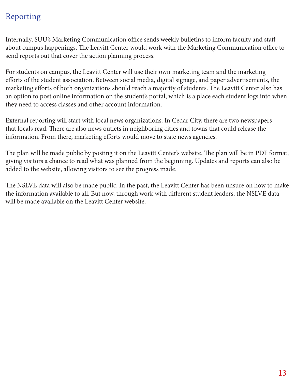# Reporting

Internally, SUU's Marketing Communication office sends weekly bulletins to inform faculty and staff about campus happenings. The Leavitt Center would work with the Marketing Communication office to send reports out that cover the action planning process.

For students on campus, the Leavitt Center will use their own marketing team and the marketing efforts of the student association. Between social media, digital signage, and paper advertisements, the marketing efforts of both organizations should reach a majority of students. The Leavitt Center also has an option to post online information on the student's portal, which is a place each student logs into when they need to access classes and other account information.

External reporting will start with local news organizations. In Cedar City, there are two newspapers that locals read. There are also news outlets in neighboring cities and towns that could release the information. From there, marketing efforts would move to state news agencies.

The plan will be made public by posting it on the Leavitt Center's website. The plan will be in PDF format, giving visitors a chance to read what was planned from the beginning. Updates and reports can also be added to the website, allowing visitors to see the progress made.

The NSLVE data will also be made public. In the past, the Leavitt Center has been unsure on how to make the information available to all. But now, through work with different student leaders, the NSLVE data will be made available on the Leavitt Center website.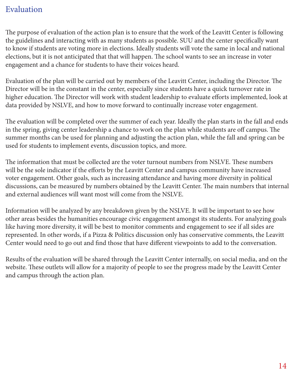#### Evaluation

The purpose of evaluation of the action plan is to ensure that the work of the Leavitt Center is following the guidelines and interacting with as many students as possible. SUU and the center specifically want to know if students are voting more in elections. Ideally students will vote the same in local and national elections, but it is not anticipated that that will happen. The school wants to see an increase in voter engagement and a chance for students to have their voices heard.

Evaluation of the plan will be carried out by members of the Leavitt Center, including the Director. The Director will be in the constant in the center, especially since students have a quick turnover rate in higher education. The Director will work with student leadership to evaluate efforts implemented, look at data provided by NSLVE, and how to move forward to continually increase voter engagement.

The evaluation will be completed over the summer of each year. Ideally the plan starts in the fall and ends in the spring, giving center leadership a chance to work on the plan while students are off campus. The summer months can be used for planning and adjusting the action plan, while the fall and spring can be used for students to implement events, discussion topics, and more.

The information that must be collected are the voter turnout numbers from NSLVE. These numbers will be the sole indicator if the efforts by the Leavitt Center and campus community have increased voter engagement. Other goals, such as increasing attendance and having more diversity in political discussions, can be measured by numbers obtained by the Leavitt Center. The main numbers that internal and external audiences will want most will come from the NSLVE.

Information will be analyzed by any breakdown given by the NSLVE. It will be important to see how other areas besides the humanities encourage civic engagement amongst its students. For analyzing goals like having more diversity, it will be best to monitor comments and engagement to see if all sides are represented. In other words, if a Pizza & Politics discussion only has conservative comments, the Leavitt Center would need to go out and find those that have different viewpoints to add to the conversation.

Results of the evaluation will be shared through the Leavitt Center internally, on social media, and on the website. These outlets will allow for a majority of people to see the progress made by the Leavitt Center and campus through the action plan.